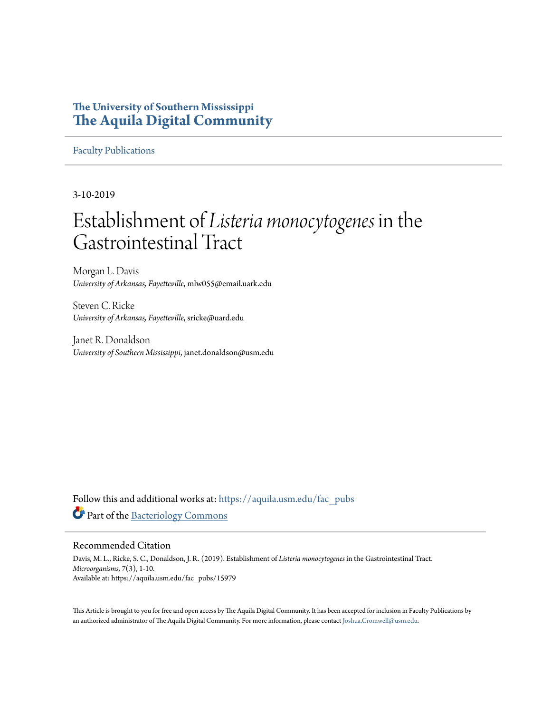# **The University of Southern Mississippi [The Aquila Digital Community](https://aquila.usm.edu?utm_source=aquila.usm.edu%2Ffac_pubs%2F15979&utm_medium=PDF&utm_campaign=PDFCoverPages)**

## [Faculty Publications](https://aquila.usm.edu/fac_pubs?utm_source=aquila.usm.edu%2Ffac_pubs%2F15979&utm_medium=PDF&utm_campaign=PDFCoverPages)

3-10-2019

# Establishment of *Listeria monocytogenes* in the Gastrointestinal Tract

Morgan L. Davis *University of Arkansas, Fayetteville*, mlw055@email.uark.edu

Steven C. Ricke *University of Arkansas, Fayetteville*, sricke@uard.edu

Janet R. Donaldson *University of Southern Mississippi*, janet.donaldson@usm.edu

Follow this and additional works at: [https://aquila.usm.edu/fac\\_pubs](https://aquila.usm.edu/fac_pubs?utm_source=aquila.usm.edu%2Ffac_pubs%2F15979&utm_medium=PDF&utm_campaign=PDFCoverPages) Part of the [Bacteriology Commons](http://network.bepress.com/hgg/discipline/49?utm_source=aquila.usm.edu%2Ffac_pubs%2F15979&utm_medium=PDF&utm_campaign=PDFCoverPages)

### Recommended Citation

Davis, M. L., Ricke, S. C., Donaldson, J. R. (2019). Establishment of *Listeria monocytogenes* in the Gastrointestinal Tract. *Microorganisms, 7*(3), 1-10. Available at: https://aquila.usm.edu/fac\_pubs/15979

This Article is brought to you for free and open access by The Aquila Digital Community. It has been accepted for inclusion in Faculty Publications by an authorized administrator of The Aquila Digital Community. For more information, please contact [Joshua.Cromwell@usm.edu](mailto:Joshua.Cromwell@usm.edu).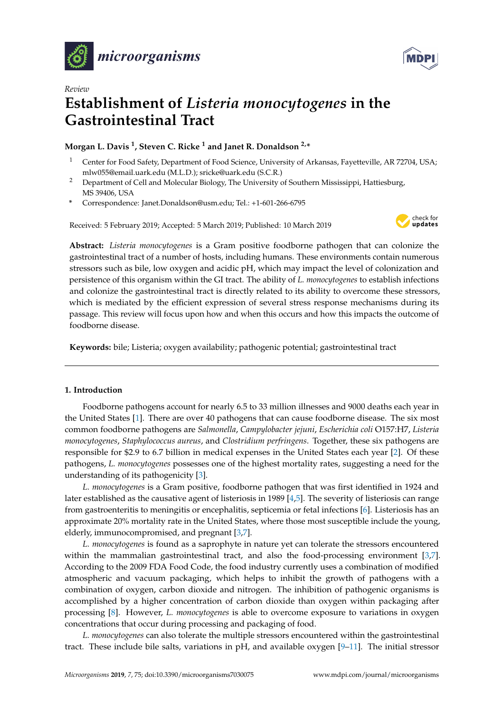

*Review*



# **Establishment of** *Listeria monocytogenes* **in the Gastrointestinal Tract**

# **Morgan L. Davis <sup>1</sup> , Steven C. Ricke <sup>1</sup> and Janet R. Donaldson 2,\***

- <sup>1</sup> Center for Food Safety, Department of Food Science, University of Arkansas, Fayetteville, AR 72704, USA; mlw055@email.uark.edu (M.L.D.); sricke@uark.edu (S.C.R.)
- <sup>2</sup> Department of Cell and Molecular Biology, The University of Southern Mississippi, Hattiesburg, MS 39406, USA
- **\*** Correspondence: Janet.Donaldson@usm.edu; Tel.: +1-601-266-6795

Received: 5 February 2019; Accepted: 5 March 2019; Published: 10 March 2019



**Abstract:** *Listeria monocytogenes* is a Gram positive foodborne pathogen that can colonize the gastrointestinal tract of a number of hosts, including humans. These environments contain numerous stressors such as bile, low oxygen and acidic pH, which may impact the level of colonization and persistence of this organism within the GI tract. The ability of *L. monocytogenes* to establish infections and colonize the gastrointestinal tract is directly related to its ability to overcome these stressors, which is mediated by the efficient expression of several stress response mechanisms during its passage. This review will focus upon how and when this occurs and how this impacts the outcome of foodborne disease.

**Keywords:** bile; Listeria; oxygen availability; pathogenic potential; gastrointestinal tract

### **1. Introduction**

Foodborne pathogens account for nearly 6.5 to 33 million illnesses and 9000 deaths each year in the United States [\[1\]](#page-6-0). There are over 40 pathogens that can cause foodborne disease. The six most common foodborne pathogens are *Salmonella*, *Campylobacter jejuni*, *Escherichia coli* O157:H7, *Listeria monocytogenes*, *Staphylococcus aureus*, and *Clostridium perfringens*. Together, these six pathogens are responsible for \$2.9 to 6.7 billion in medical expenses in the United States each year [\[2\]](#page-6-1). Of these pathogens, *L. monocytogenes* possesses one of the highest mortality rates, suggesting a need for the understanding of its pathogenicity [\[3\]](#page-6-2).

*L. monocytogenes* is a Gram positive, foodborne pathogen that was first identified in 1924 and later established as the causative agent of listeriosis in 1989 [\[4,](#page-6-3)[5\]](#page-6-4). The severity of listeriosis can range from gastroenteritis to meningitis or encephalitis, septicemia or fetal infections [\[6\]](#page-6-5). Listeriosis has an approximate 20% mortality rate in the United States, where those most susceptible include the young, elderly, immunocompromised, and pregnant [\[3,](#page-6-2)[7\]](#page-6-6).

*L. monocytogenes* is found as a saprophyte in nature yet can tolerate the stressors encountered within the mammalian gastrointestinal tract, and also the food-processing environment [\[3,](#page-6-2)[7\]](#page-6-6). According to the 2009 FDA Food Code, the food industry currently uses a combination of modified atmospheric and vacuum packaging, which helps to inhibit the growth of pathogens with a combination of oxygen, carbon dioxide and nitrogen. The inhibition of pathogenic organisms is accomplished by a higher concentration of carbon dioxide than oxygen within packaging after processing [\[8\]](#page-6-7). However, *L. monocytogenes* is able to overcome exposure to variations in oxygen concentrations that occur during processing and packaging of food.

*L. monocytogenes* can also tolerate the multiple stressors encountered within the gastrointestinal tract. These include bile salts, variations in pH, and available oxygen [\[9–](#page-6-8)[11\]](#page-7-0). The initial stressor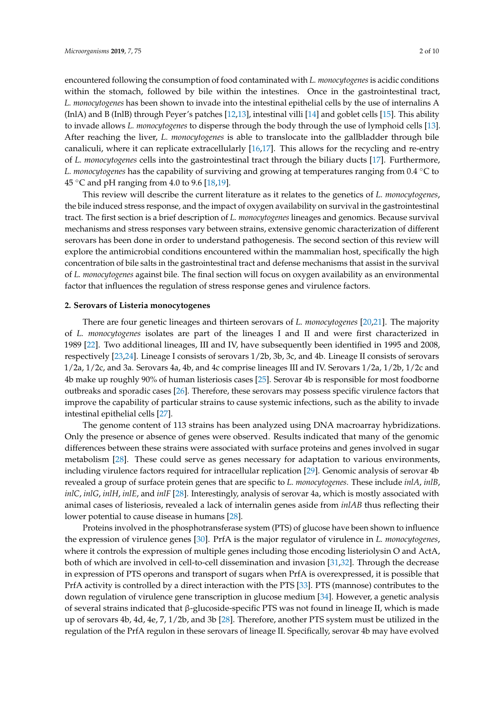encountered following the consumption of food contaminated with *L. monocytogenes* is acidic conditions within the stomach, followed by bile within the intestines. Once in the gastrointestinal tract, *L. monocytogenes* has been shown to invade into the intestinal epithelial cells by the use of internalins A (InlA) and B (InlB) through Peyer's patches [\[12](#page-7-1)[,13\]](#page-7-2), intestinal villi [\[14\]](#page-7-3) and goblet cells [\[15\]](#page-7-4). This ability to invade allows *L. monocytogenes* to disperse through the body through the use of lymphoid cells [\[13\]](#page-7-2). After reaching the liver, *L. monocytogenes* is able to translocate into the gallbladder through bile canaliculi, where it can replicate extracellularly [\[16](#page-7-5)[,17\]](#page-7-6). This allows for the recycling and re-entry of *L. monocytogenes* cells into the gastrointestinal tract through the biliary ducts [\[17\]](#page-7-6). Furthermore, *L. monocytogenes* has the capability of surviving and growing at temperatures ranging from 0.4 ◦C to 45 °C and pH ranging from 4.0 to 9.6 [\[18](#page-7-7)[,19\]](#page-7-8).

This review will describe the current literature as it relates to the genetics of *L. monocytogenes*, the bile induced stress response, and the impact of oxygen availability on survival in the gastrointestinal tract. The first section is a brief description of *L. monocytogenes* lineages and genomics. Because survival mechanisms and stress responses vary between strains, extensive genomic characterization of different serovars has been done in order to understand pathogenesis. The second section of this review will explore the antimicrobial conditions encountered within the mammalian host, specifically the high concentration of bile salts in the gastrointestinal tract and defense mechanisms that assist in the survival of *L. monocytogenes* against bile. The final section will focus on oxygen availability as an environmental factor that influences the regulation of stress response genes and virulence factors.

#### **2. Serovars of Listeria monocytogenes**

There are four genetic lineages and thirteen serovars of *L. monocytogenes* [\[20](#page-7-9)[,21\]](#page-7-10). The majority of *L. monocytogenes* isolates are part of the lineages I and II and were first characterized in 1989 [\[22\]](#page-7-11). Two additional lineages, III and IV, have subsequently been identified in 1995 and 2008, respectively [\[23,](#page-7-12)[24\]](#page-7-13). Lineage I consists of serovars 1/2b, 3b, 3c, and 4b. Lineage II consists of serovars 1/2a, 1/2c, and 3a. Serovars 4a, 4b, and 4c comprise lineages III and IV. Serovars 1/2a, 1/2b, 1/2c and 4b make up roughly 90% of human listeriosis cases [\[25\]](#page-7-14). Serovar 4b is responsible for most foodborne outbreaks and sporadic cases [\[26\]](#page-7-15). Therefore, these serovars may possess specific virulence factors that improve the capability of particular strains to cause systemic infections, such as the ability to invade intestinal epithelial cells [\[27\]](#page-7-16).

The genome content of 113 strains has been analyzed using DNA macroarray hybridizations. Only the presence or absence of genes were observed. Results indicated that many of the genomic differences between these strains were associated with surface proteins and genes involved in sugar metabolism [\[28\]](#page-7-17). These could serve as genes necessary for adaptation to various environments, including virulence factors required for intracellular replication [\[29\]](#page-7-18). Genomic analysis of serovar 4b revealed a group of surface protein genes that are specific to *L. monocytogenes.* These include *inlA*, *inlB*, *inlC*, *inlG*, *inlH*, *inlE*, and *inlF* [\[28\]](#page-7-17). Interestingly, analysis of serovar 4a, which is mostly associated with animal cases of listeriosis, revealed a lack of internalin genes aside from *inlAB* thus reflecting their lower potential to cause disease in humans [\[28\]](#page-7-17).

Proteins involved in the phosphotransferase system (PTS) of glucose have been shown to influence the expression of virulence genes [\[30\]](#page-7-19). PrfA is the major regulator of virulence in *L. monocytogenes*, where it controls the expression of multiple genes including those encoding listeriolysin O and ActA, both of which are involved in cell-to-cell dissemination and invasion [\[31,](#page-7-20)[32\]](#page-8-0). Through the decrease in expression of PTS operons and transport of sugars when PrfA is overexpressed, it is possible that PrfA activity is controlled by a direct interaction with the PTS [\[33\]](#page-8-1). PTS (mannose) contributes to the down regulation of virulence gene transcription in glucose medium [\[34\]](#page-8-2). However, a genetic analysis of several strains indicated that β-glucoside-specific PTS was not found in lineage II, which is made up of serovars 4b, 4d, 4e, 7, 1/2b, and 3b [\[28\]](#page-7-17). Therefore, another PTS system must be utilized in the regulation of the PrfA regulon in these serovars of lineage II. Specifically, serovar 4b may have evolved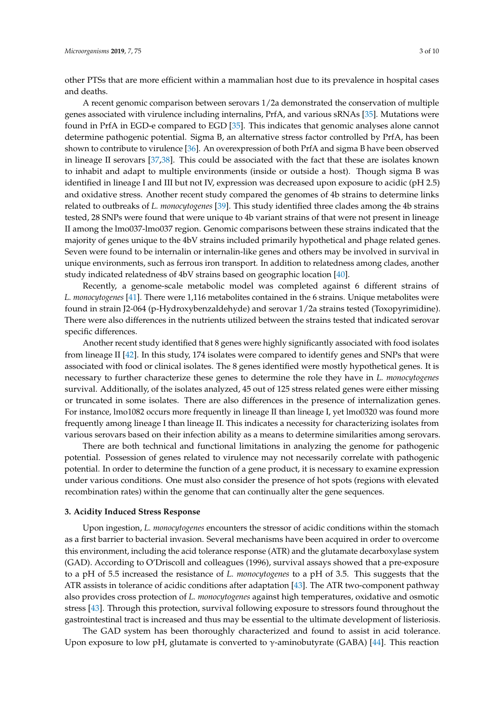other PTSs that are more efficient within a mammalian host due to its prevalence in hospital cases and deaths.

A recent genomic comparison between serovars 1/2a demonstrated the conservation of multiple genes associated with virulence including internalins, PrfA, and various sRNAs [\[35\]](#page-8-3). Mutations were found in PrfA in EGD-e compared to EGD [\[35\]](#page-8-3). This indicates that genomic analyses alone cannot determine pathogenic potential. Sigma B, an alternative stress factor controlled by PrfA, has been shown to contribute to virulence [\[36\]](#page-8-4). An overexpression of both PrfA and sigma B have been observed in lineage II serovars [\[37](#page-8-5)[,38\]](#page-8-6). This could be associated with the fact that these are isolates known to inhabit and adapt to multiple environments (inside or outside a host). Though sigma B was identified in lineage I and III but not IV, expression was decreased upon exposure to acidic (pH 2.5) and oxidative stress. Another recent study compared the genomes of 4b strains to determine links related to outbreaks of *L. monocytogenes* [\[39\]](#page-8-7). This study identified three clades among the 4b strains tested, 28 SNPs were found that were unique to 4b variant strains of that were not present in lineage II among the lmo037-lmo037 region. Genomic comparisons between these strains indicated that the majority of genes unique to the 4bV strains included primarily hypothetical and phage related genes. Seven were found to be internalin or internalin-like genes and others may be involved in survival in unique environments, such as ferrous iron transport. In addition to relatedness among clades, another study indicated relatedness of 4bV strains based on geographic location [\[40\]](#page-8-8).

Recently, a genome-scale metabolic model was completed against 6 different strains of *L. monocytogenes* [\[41\]](#page-8-9). There were 1,116 metabolites contained in the 6 strains. Unique metabolites were found in strain J2-064 (p-Hydroxybenzaldehyde) and serovar 1/2a strains tested (Toxopyrimidine). There were also differences in the nutrients utilized between the strains tested that indicated serovar specific differences.

Another recent study identified that 8 genes were highly significantly associated with food isolates from lineage II [\[42\]](#page-8-10). In this study, 174 isolates were compared to identify genes and SNPs that were associated with food or clinical isolates. The 8 genes identified were mostly hypothetical genes. It is necessary to further characterize these genes to determine the role they have in *L. monocytogenes* survival. Additionally, of the isolates analyzed, 45 out of 125 stress related genes were either missing or truncated in some isolates. There are also differences in the presence of internalization genes. For instance, lmo1082 occurs more frequently in lineage II than lineage I, yet lmo0320 was found more frequently among lineage I than lineage II. This indicates a necessity for characterizing isolates from various serovars based on their infection ability as a means to determine similarities among serovars.

There are both technical and functional limitations in analyzing the genome for pathogenic potential. Possession of genes related to virulence may not necessarily correlate with pathogenic potential. In order to determine the function of a gene product, it is necessary to examine expression under various conditions. One must also consider the presence of hot spots (regions with elevated recombination rates) within the genome that can continually alter the gene sequences.

#### **3. Acidity Induced Stress Response**

Upon ingestion, *L. monocytogenes* encounters the stressor of acidic conditions within the stomach as a first barrier to bacterial invasion. Several mechanisms have been acquired in order to overcome this environment, including the acid tolerance response (ATR) and the glutamate decarboxylase system (GAD). According to O'Driscoll and colleagues (1996), survival assays showed that a pre-exposure to a pH of 5.5 increased the resistance of *L. monocytogenes* to a pH of 3.5. This suggests that the ATR assists in tolerance of acidic conditions after adaptation [\[43\]](#page-8-11). The ATR two-component pathway also provides cross protection of *L. monocytogenes* against high temperatures, oxidative and osmotic stress [\[43\]](#page-8-11). Through this protection, survival following exposure to stressors found throughout the gastrointestinal tract is increased and thus may be essential to the ultimate development of listeriosis.

The GAD system has been thoroughly characterized and found to assist in acid tolerance. Upon exposure to low pH, glutamate is converted to  $\gamma$ -aminobutyrate (GABA) [\[44\]](#page-8-12). This reaction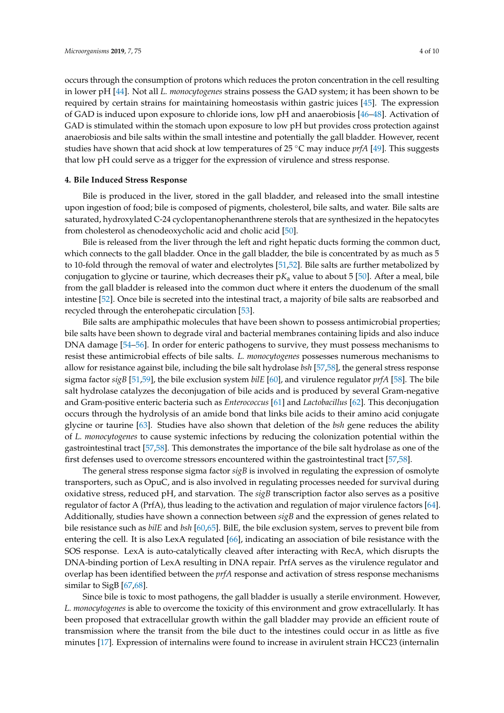occurs through the consumption of protons which reduces the proton concentration in the cell resulting in lower pH [\[44\]](#page-8-12). Not all *L. monocytogenes* strains possess the GAD system; it has been shown to be required by certain strains for maintaining homeostasis within gastric juices [\[45\]](#page-8-13). The expression of GAD is induced upon exposure to chloride ions, low pH and anaerobiosis [\[46–](#page-8-14)[48\]](#page-8-15). Activation of GAD is stimulated within the stomach upon exposure to low pH but provides cross protection against anaerobiosis and bile salts within the small intestine and potentially the gall bladder. However, recent studies have shown that acid shock at low temperatures of 25 ◦C may induce *prfA* [\[49\]](#page-8-16). This suggests that low pH could serve as a trigger for the expression of virulence and stress response.

#### **4. Bile Induced Stress Response**

Bile is produced in the liver, stored in the gall bladder, and released into the small intestine upon ingestion of food; bile is composed of pigments, cholesterol, bile salts, and water. Bile salts are saturated, hydroxylated C-24 cyclopentanophenanthrene sterols that are synthesized in the hepatocytes from cholesterol as chenodeoxycholic acid and cholic acid [\[50\]](#page-8-17).

Bile is released from the liver through the left and right hepatic ducts forming the common duct, which connects to the gall bladder. Once in the gall bladder, the bile is concentrated by as much as 5 to 10-fold through the removal of water and electrolytes [\[51](#page-8-18)[,52\]](#page-9-0). Bile salts are further metabolized by conjugation to glycine or taurine, which decreases their p*K*<sup>a</sup> value to about 5 [\[50\]](#page-8-17). After a meal, bile from the gall bladder is released into the common duct where it enters the duodenum of the small intestine [\[52\]](#page-9-0). Once bile is secreted into the intestinal tract, a majority of bile salts are reabsorbed and recycled through the enterohepatic circulation [\[53\]](#page-9-1).

Bile salts are amphipathic molecules that have been shown to possess antimicrobial properties; bile salts have been shown to degrade viral and bacterial membranes containing lipids and also induce DNA damage [\[54](#page-9-2)[–56\]](#page-9-3). In order for enteric pathogens to survive, they must possess mechanisms to resist these antimicrobial effects of bile salts. *L. monocytogenes* possesses numerous mechanisms to allow for resistance against bile, including the bile salt hydrolase *bsh* [\[57](#page-9-4)[,58\]](#page-9-5), the general stress response sigma factor *sigB* [\[51,](#page-8-18)[59\]](#page-9-6), the bile exclusion system *bilE* [\[60\]](#page-9-7), and virulence regulator *prfA* [\[58\]](#page-9-5). The bile salt hydrolase catalyzes the deconjugation of bile acids and is produced by several Gram-negative and Gram-positive enteric bacteria such as *Enterococcus* [\[61\]](#page-9-8) and *Lactobacillus* [\[62\]](#page-9-9). This deconjugation occurs through the hydrolysis of an amide bond that links bile acids to their amino acid conjugate glycine or taurine [\[63\]](#page-9-10). Studies have also shown that deletion of the *bsh* gene reduces the ability of *L. monocytogenes* to cause systemic infections by reducing the colonization potential within the gastrointestinal tract [\[57](#page-9-4)[,58\]](#page-9-5). This demonstrates the importance of the bile salt hydrolase as one of the first defenses used to overcome stressors encountered within the gastrointestinal tract [\[57](#page-9-4)[,58\]](#page-9-5).

The general stress response sigma factor *sigB* is involved in regulating the expression of osmolyte transporters, such as OpuC, and is also involved in regulating processes needed for survival during oxidative stress, reduced pH, and starvation. The *sigB* transcription factor also serves as a positive regulator of factor A (PrfA), thus leading to the activation and regulation of major virulence factors [\[64\]](#page-9-11). Additionally, studies have shown a connection between *sigB* and the expression of genes related to bile resistance such as *bilE* and *bsh* [\[60](#page-9-7)[,65\]](#page-9-12). BilE, the bile exclusion system, serves to prevent bile from entering the cell. It is also LexA regulated [\[66\]](#page-9-13), indicating an association of bile resistance with the SOS response. LexA is auto-catalytically cleaved after interacting with RecA, which disrupts the DNA-binding portion of LexA resulting in DNA repair. PrfA serves as the virulence regulator and overlap has been identified between the *prfA* response and activation of stress response mechanisms similar to SigB [\[67](#page-9-14)[,68\]](#page-9-15).

Since bile is toxic to most pathogens, the gall bladder is usually a sterile environment. However, *L. monocytogenes* is able to overcome the toxicity of this environment and grow extracellularly. It has been proposed that extracellular growth within the gall bladder may provide an efficient route of transmission where the transit from the bile duct to the intestines could occur in as little as five minutes [\[17\]](#page-7-6). Expression of internalins were found to increase in avirulent strain HCC23 (internalin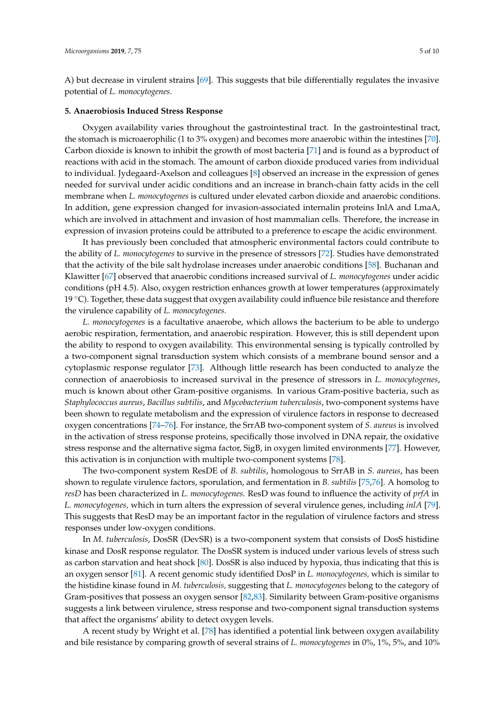A) but decrease in virulent strains [\[69\]](#page-9-16). This suggests that bile differentially regulates the invasive potential of *L. monocytogenes*.

#### **5. Anaerobiosis Induced Stress Response**

Oxygen availability varies throughout the gastrointestinal tract. In the gastrointestinal tract, the stomach is microaerophilic (1 to 3% oxygen) and becomes more anaerobic within the intestines [\[70\]](#page-9-17). Carbon dioxide is known to inhibit the growth of most bacteria [\[71\]](#page-9-18) and is found as a byproduct of reactions with acid in the stomach. The amount of carbon dioxide produced varies from individual to individual. Jydegaard-Axelson and colleagues [\[8\]](#page-6-7) observed an increase in the expression of genes needed for survival under acidic conditions and an increase in branch-chain fatty acids in the cell membrane when *L. monocytogenes* is cultured under elevated carbon dioxide and anaerobic conditions. In addition, gene expression changed for invasion-associated internalin proteins InlA and LmaA, which are involved in attachment and invasion of host mammalian cells. Therefore, the increase in expression of invasion proteins could be attributed to a preference to escape the acidic environment.

It has previously been concluded that atmospheric environmental factors could contribute to the ability of *L. monocytogenes* to survive in the presence of stressors [\[72\]](#page-9-19). Studies have demonstrated that the activity of the bile salt hydrolase increases under anaerobic conditions [\[58\]](#page-9-5). Buchanan and Klawitter [\[67\]](#page-9-14) observed that anaerobic conditions increased survival of *L. monocytogenes* under acidic conditions (pH 4.5). Also, oxygen restriction enhances growth at lower temperatures (approximately 19 ◦C). Together, these data suggest that oxygen availability could influence bile resistance and therefore the virulence capability of *L. monocytogenes.*

*L. monocytogenes* is a facultative anaerobe, which allows the bacterium to be able to undergo aerobic respiration, fermentation, and anaerobic respiration. However, this is still dependent upon the ability to respond to oxygen availability. This environmental sensing is typically controlled by a two-component signal transduction system which consists of a membrane bound sensor and a cytoplasmic response regulator [\[73\]](#page-10-0). Although little research has been conducted to analyze the connection of anaerobiosis to increased survival in the presence of stressors in *L. monocytogenes*, much is known about other Gram-positive organisms. In various Gram-positive bacteria, such as *Staphylococcus aureus*, *Bacillus subtilis*, and *Mycobacterium tuberculosis*, two-component systems have been shown to regulate metabolism and the expression of virulence factors in response to decreased oxygen concentrations [\[74–](#page-10-1)[76\]](#page-10-2). For instance, the SrrAB two-component system of *S. aureus* is involved in the activation of stress response proteins, specifically those involved in DNA repair, the oxidative stress response and the alternative sigma factor, SigB, in oxygen limited environments [\[77\]](#page-10-3). However, this activation is in conjunction with multiple two-component systems [\[78\]](#page-10-4).

The two-component system ResDE of *B. subtilis*, homologous to SrrAB in *S. aureus*, has been shown to regulate virulence factors, sporulation, and fermentation in *B. subtilis* [\[75](#page-10-5)[,76\]](#page-10-2). A homolog to *resD* has been characterized in *L. monocytogenes.* ResD was found to influence the activity of *prfA* in *L. monocytogenes,* which in turn alters the expression of several virulence genes, including *inlA* [\[79\]](#page-10-6). This suggests that ResD may be an important factor in the regulation of virulence factors and stress responses under low-oxygen conditions.

In *M. tuberculosis*, DosSR (DevSR) is a two-component system that consists of DosS histidine kinase and DosR response regulator. The DosSR system is induced under various levels of stress such as carbon starvation and heat shock [\[80\]](#page-10-7). DosSR is also induced by hypoxia, thus indicating that this is an oxygen sensor [\[81\]](#page-10-8). A recent genomic study identified DosP in *L. monocytogenes,* which is similar to the histidine kinase found in *M. tuberculosis,* suggesting that *L. monocytogenes* belong to the category of Gram-positives that possess an oxygen sensor [\[82,](#page-10-9)[83\]](#page-10-10). Similarity between Gram-positive organisms suggests a link between virulence, stress response and two-component signal transduction systems that affect the organisms' ability to detect oxygen levels.

A recent study by Wright et al. [\[78\]](#page-10-4) has identified a potential link between oxygen availability and bile resistance by comparing growth of several strains of *L. monocytogenes* in 0%, 1%, 5%, and 10%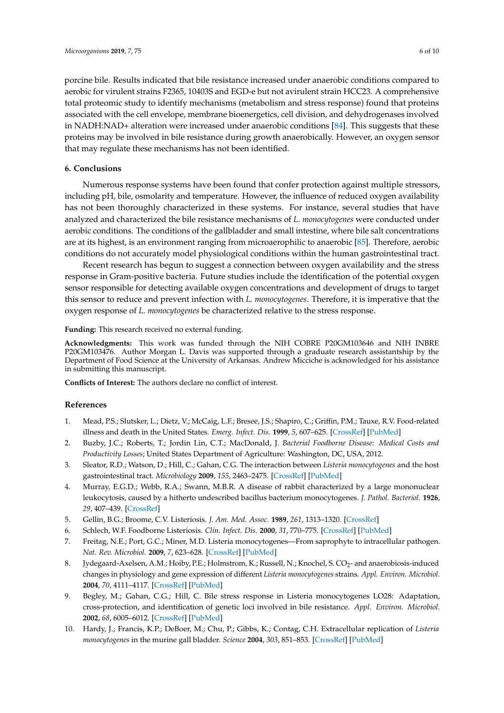porcine bile. Results indicated that bile resistance increased under anaerobic conditions compared to aerobic for virulent strains F2365, 10403S and EGD-e but not avirulent strain HCC23. A comprehensive total proteomic study to identify mechanisms (metabolism and stress response) found that proteins associated with the cell envelope, membrane bioenergetics, cell division, and dehydrogenases involved in NADH:NAD+ alteration were increased under anaerobic conditions [\[84\]](#page-10-11). This suggests that these proteins may be involved in bile resistance during growth anaerobically. However, an oxygen sensor that may regulate these mechanisms has not been identified.

#### **6. Conclusions**

Numerous response systems have been found that confer protection against multiple stressors, including pH, bile, osmolarity and temperature. However, the influence of reduced oxygen availability has not been thoroughly characterized in these systems. For instance, several studies that have analyzed and characterized the bile resistance mechanisms of *L. monocytogenes* were conducted under aerobic conditions. The conditions of the gallbladder and small intestine, where bile salt concentrations are at its highest, is an environment ranging from microaerophilic to anaerobic [\[85\]](#page-10-12). Therefore, aerobic conditions do not accurately model physiological conditions within the human gastrointestinal tract.

Recent research has begun to suggest a connection between oxygen availability and the stress response in Gram-positive bacteria. Future studies include the identification of the potential oxygen sensor responsible for detecting available oxygen concentrations and development of drugs to target this sensor to reduce and prevent infection with *L. monocytogenes*. Therefore, it is imperative that the oxygen response of *L. monocytogenes* be characterized relative to the stress response.

**Funding:** This research received no external funding.

**Acknowledgments:** This work was funded through the NIH COBRE P20GM103646 and NIH INBRE P20GM103476. Author Morgan L. Davis was supported through a graduate research assistantship by the Department of Food Science at the University of Arkansas. Andrew Micciche is acknowledged for his assistance in submitting this manuscript.

**Conflicts of Interest:** The authors declare no conflict of interest.

#### **References**

- <span id="page-6-0"></span>1. Mead, P.S.; Slutsker, L.; Dietz, V.; McCaig, L.F.; Bresee, J.S.; Shapiro, C.; Griffin, P.M.; Tauxe, R.V. Food-related illness and death in the United States. *Emerg. Infect. Dis.* **1999**, *5*, 607–625. [\[CrossRef\]](http://dx.doi.org/10.3201/eid0505.990502) [\[PubMed\]](http://www.ncbi.nlm.nih.gov/pubmed/10511517)
- <span id="page-6-1"></span>2. Buzby, J.C.; Roberts, T.; Jordin Lin, C.T.; MacDonald, J. *Bacterial Foodborne Disease: Medical Costs and Productivity Losses*; United States Department of Agriculture: Washington, DC, USA, 2012.
- <span id="page-6-2"></span>3. Sleator, R.D.; Watson, D.; Hill, C.; Gahan, C.G. The interaction between *Listeria monocytogenes* and the host gastrointestinal tract. *Microbiology* **2009**, *155*, 2463–2475. [\[CrossRef\]](http://dx.doi.org/10.1099/mic.0.030205-0) [\[PubMed\]](http://www.ncbi.nlm.nih.gov/pubmed/19542009)
- <span id="page-6-3"></span>4. Murray, E.G.D.; Webb, R.A.; Swann, M.B.R. A disease of rabbit characterized by a large mononuclear leukocytosis, caused by a hitherto undescribed bacillus bacterium monocytogenes. *J. Pathol. Bacteriol.* **1926**, *29*, 407–439. [\[CrossRef\]](http://dx.doi.org/10.1002/path.1700290409)
- <span id="page-6-4"></span>5. Gellin, B.G.; Broome, C.V. Listeriosis. *J. Am. Med. Assoc.* **1989**, *261*, 1313–1320. [\[CrossRef\]](http://dx.doi.org/10.1001/jama.1989.03420090077035)
- <span id="page-6-6"></span><span id="page-6-5"></span>6. Schlech, W.F. Foodborne Listeriosis. *Clin. Infect. Dis.* **2000**, *31*, 770–775. [\[CrossRef\]](http://dx.doi.org/10.1086/314008) [\[PubMed\]](http://www.ncbi.nlm.nih.gov/pubmed/11017828)
- 7. Freitag, N.E.; Port, G.C.; Miner, M.D. Listeria monocytogenes—From saprophyte to intracellular pathogen. *Nat. Rev. Microbiol.* **2009**, *7*, 623–628. [\[CrossRef\]](http://dx.doi.org/10.1038/nrmicro2171) [\[PubMed\]](http://www.ncbi.nlm.nih.gov/pubmed/19648949)
- <span id="page-6-7"></span>8. Jydegaard-Axelsen, A.M.; Hoiby, P.E.; Holmstrom, K.; Russell, N.; Knochel, S. CO<sub>2</sub>- and anaerobiosis-induced changes in physiology and gene expression of different *Listeria monocytogenes* strains. *Appl. Environ. Microbiol.* **2004**, *70*, 4111–4117. [\[CrossRef\]](http://dx.doi.org/10.1128/AEM.70.7.4111-4117.2004) [\[PubMed\]](http://www.ncbi.nlm.nih.gov/pubmed/15240290)
- <span id="page-6-8"></span>9. Begley, M.; Gahan, C.G.; Hill, C. Bile stress response in Listeria monocytogenes LO28: Adaptation, cross-protection, and identification of genetic loci involved in bile resistance. *Appl. Environ. Microbiol.* **2002**, *68*, 6005–6012. [\[CrossRef\]](http://dx.doi.org/10.1128/AEM.68.12.6005-6012.2002) [\[PubMed\]](http://www.ncbi.nlm.nih.gov/pubmed/12450822)
- 10. Hardy, J.; Francis, K.P.; DeBoer, M.; Chu, P.; Gibbs, K.; Contag, C.H. Extracellular replication of *Listeria monocytogenes* in the murine gall bladder. *Science* **2004**, *303*, 851–853. [\[CrossRef\]](http://dx.doi.org/10.1126/science.1092712) [\[PubMed\]](http://www.ncbi.nlm.nih.gov/pubmed/14764883)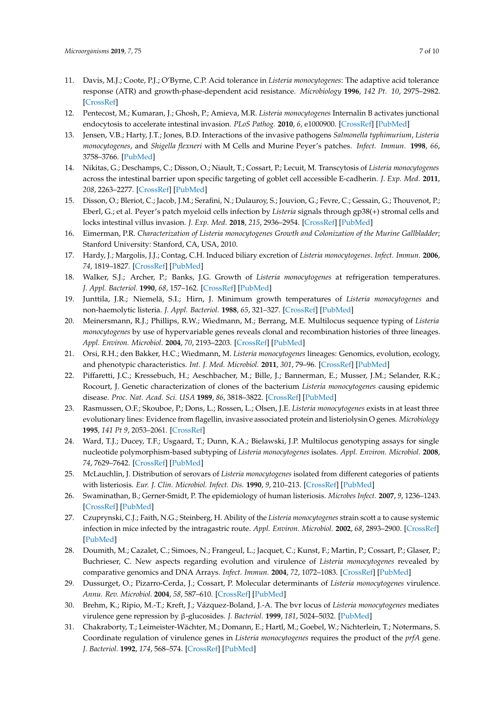- <span id="page-7-0"></span>11. Davis, M.J.; Coote, P.J.; O'Byrne, C.P. Acid tolerance in *Listeria monocytogenes*: The adaptive acid tolerance response (ATR) and growth-phase-dependent acid resistance. *Microbiology* **1996**, *142 Pt. 10*, 2975–2982. [\[CrossRef\]](http://dx.doi.org/10.1099/13500872-142-10-2975)
- <span id="page-7-1"></span>12. Pentecost, M.; Kumaran, J.; Ghosh, P.; Amieva, M.R. *Listeria monocytogenes* Internalin B activates junctional endocytosis to accelerate intestinal invasion. *PLoS Pathog.* **2010**, *6*, e1000900. [\[CrossRef\]](http://dx.doi.org/10.1371/journal.ppat.1000900) [\[PubMed\]](http://www.ncbi.nlm.nih.gov/pubmed/20485518)
- <span id="page-7-2"></span>13. Jensen, V.B.; Harty, J.T.; Jones, B.D. Interactions of the invasive pathogens *Salmonella typhimurium*, *Listeria monocytogenes*, and *Shigella flexneri* with M Cells and Murine Peyer's patches. *Infect. Immun.* **1998**, *66*, 3758–3766. [\[PubMed\]](http://www.ncbi.nlm.nih.gov/pubmed/9673259)
- <span id="page-7-3"></span>14. Nikitas, G.; Deschamps, C.; Disson, O.; Niault, T.; Cossart, P.; Lecuit, M. Transcytosis of *Listeria monocytogenes* across the intestinal barrier upon specific targeting of goblet cell accessible E-cadherin. *J. Exp. Med.* **2011**, *208*, 2263–2277. [\[CrossRef\]](http://dx.doi.org/10.1084/jem.20110560) [\[PubMed\]](http://www.ncbi.nlm.nih.gov/pubmed/21967767)
- <span id="page-7-4"></span>15. Disson, O.; Bleriot, C.; Jacob, J.M.; Serafini, N.; Dulauroy, S.; Jouvion, G.; Fevre, C.; Gessain, G.; Thouvenot, P.; Eberl, G.; et al. Peyer's patch myeloid cells infection by *Listeria* signals through gp38(+) stromal cells and locks intestinal villus invasion. *J. Exp. Med.* **2018**, *215*, 2936–2954. [\[CrossRef\]](http://dx.doi.org/10.1084/jem.20181210) [\[PubMed\]](http://www.ncbi.nlm.nih.gov/pubmed/30355616)
- <span id="page-7-5"></span>16. Eimerman, P.R. *Characterization of Listeria monocytogenes Growth and Colonization of the Murine Gallbladder*; Stanford University: Stanford, CA, USA, 2010.
- <span id="page-7-6"></span>17. Hardy, J.; Margolis, J.J.; Contag, C.H. Induced biliary excretion of *Listeria monocytogenes*. *Infect. Immun.* **2006**, *74*, 1819–1827. [\[CrossRef\]](http://dx.doi.org/10.1128/IAI.74.3.1819-1827.2006) [\[PubMed\]](http://www.ncbi.nlm.nih.gov/pubmed/16495556)
- <span id="page-7-7"></span>18. Walker, S.J.; Archer, P.; Banks, J.G. Growth of *Listeria monocytogenes* at refrigeration temperatures. *J. Appl. Bacteriol.* **1990**, *68*, 157–162. [\[CrossRef\]](http://dx.doi.org/10.1111/j.1365-2672.1990.tb02561.x) [\[PubMed\]](http://www.ncbi.nlm.nih.gov/pubmed/2108109)
- <span id="page-7-8"></span>19. Junttila, J.R.; Niemelä, S.I.; Hirn, J. Minimum growth temperatures of *Listeria monocytogenes* and non-haemolytic listeria. *J. Appl. Bacteriol.* **1988**, *65*, 321–327. [\[CrossRef\]](http://dx.doi.org/10.1111/j.1365-2672.1988.tb01898.x) [\[PubMed\]](http://www.ncbi.nlm.nih.gov/pubmed/3146567)
- <span id="page-7-9"></span>20. Meinersmann, R.J.; Phillips, R.W.; Wiedmann, M.; Berrang, M.E. Multilocus sequence typing of *Listeria monocytogenes* by use of hypervariable genes reveals clonal and recombination histories of three lineages. *Appl. Environ. Microbiol.* **2004**, *70*, 2193–2203. [\[CrossRef\]](http://dx.doi.org/10.1128/AEM.70.4.2193-2203.2004) [\[PubMed\]](http://www.ncbi.nlm.nih.gov/pubmed/15066813)
- <span id="page-7-10"></span>21. Orsi, R.H.; den Bakker, H.C.; Wiedmann, M. *Listeria monocytogenes* lineages: Genomics, evolution, ecology, and phenotypic characteristics. *Int. J. Med. Microbiol.* **2011**, *301*, 79–96. [\[CrossRef\]](http://dx.doi.org/10.1016/j.ijmm.2010.05.002) [\[PubMed\]](http://www.ncbi.nlm.nih.gov/pubmed/20708964)
- <span id="page-7-11"></span>22. Piffaretti, J.C.; Kressebuch, H.; Aeschbacher, M.; Bille, J.; Bannerman, E.; Musser, J.M.; Selander, R.K.; Rocourt, J. Genetic characterization of clones of the bacterium *Listeria monocytogenes* causing epidemic disease. *Proc. Nat. Acad. Sci. USA* **1989**, *86*, 3818–3822. [\[CrossRef\]](http://dx.doi.org/10.1073/pnas.86.10.3818) [\[PubMed\]](http://www.ncbi.nlm.nih.gov/pubmed/2498876)
- <span id="page-7-12"></span>23. Rasmussen, O.F.; Skouboe, P.; Dons, L.; Rossen, L.; Olsen, J.E. *Listeria monocytogenes* exists in at least three evolutionary lines: Evidence from flagellin, invasive associated protein and listeriolysin O genes. *Microbiology* **1995**, *141 Pt 9*, 2053–2061. [\[CrossRef\]](http://dx.doi.org/10.1099/13500872-141-9-2053)
- <span id="page-7-13"></span>24. Ward, T.J.; Ducey, T.F.; Usgaard, T.; Dunn, K.A.; Bielawski, J.P. Multilocus genotyping assays for single nucleotide polymorphism-based subtyping of *Listeria monocytogenes* isolates. *Appl. Environ. Microbiol.* **2008**, *74*, 7629–7642. [\[CrossRef\]](http://dx.doi.org/10.1128/AEM.01127-08) [\[PubMed\]](http://www.ncbi.nlm.nih.gov/pubmed/18931295)
- <span id="page-7-14"></span>25. McLauchlin, J. Distribution of serovars of *Listeria monocytogenes* isolated from different categories of patients with listeriosis. *Eur. J. Clin. Microbiol. Infect. Dis.* **1990**, *9*, 210–213. [\[CrossRef\]](http://dx.doi.org/10.1007/BF01963840) [\[PubMed\]](http://www.ncbi.nlm.nih.gov/pubmed/2110901)
- <span id="page-7-15"></span>26. Swaminathan, B.; Gerner-Smidt, P. The epidemiology of human listeriosis. *Microbes Infect.* **2007**, *9*, 1236–1243. [\[CrossRef\]](http://dx.doi.org/10.1016/j.micinf.2007.05.011) [\[PubMed\]](http://www.ncbi.nlm.nih.gov/pubmed/17720602)
- <span id="page-7-16"></span>27. Czuprynski, C.J.; Faith, N.G.; Steinberg, H. Ability of the *Listeria monocytogenes* strain scott a to cause systemic infection in mice infected by the intragastric route. *Appl. Environ. Microbiol.* **2002**, *68*, 2893–2900. [\[CrossRef\]](http://dx.doi.org/10.1128/AEM.68.6.2893-2900.2002) [\[PubMed\]](http://www.ncbi.nlm.nih.gov/pubmed/12039747)
- <span id="page-7-17"></span>28. Doumith, M.; Cazalet, C.; Simoes, N.; Frangeul, L.; Jacquet, C.; Kunst, F.; Martin, P.; Cossart, P.; Glaser, P.; Buchrieser, C. New aspects regarding evolution and virulence of *Listeria monocytogenes* revealed by comparative genomics and DNA Arrays. *Infect. Immun.* **2004**, *72*, 1072–1083. [\[CrossRef\]](http://dx.doi.org/10.1128/IAI.72.2.1072-1083.2004) [\[PubMed\]](http://www.ncbi.nlm.nih.gov/pubmed/14742555)
- <span id="page-7-18"></span>29. Dussurget, O.; Pizarro-Cerda, J.; Cossart, P. Molecular determinants of *Listeria monocytogenes* virulence. *Annu. Rev. Microbiol.* **2004**, *58*, 587–610. [\[CrossRef\]](http://dx.doi.org/10.1146/annurev.micro.57.030502.090934) [\[PubMed\]](http://www.ncbi.nlm.nih.gov/pubmed/15487949)
- <span id="page-7-19"></span>30. Brehm, K.; Ripio, M.-T.; Kreft, J.; Vázquez-Boland, J.-A. The bvr locus of *Listeria monocytogenes* mediates virulence gene repression by β-glucosides. *J. Bacteriol.* **1999**, *181*, 5024–5032. [\[PubMed\]](http://www.ncbi.nlm.nih.gov/pubmed/10438775)
- <span id="page-7-20"></span>31. Chakraborty, T.; Leimeister-Wächter, M.; Domann, E.; Hartl, M.; Goebel, W.; Nichterlein, T.; Notermans, S. Coordinate regulation of virulence genes in *Listeria monocytogenes* requires the product of the *prfA* gene. *J. Bacteriol.* **1992**, *174*, 568–574. [\[CrossRef\]](http://dx.doi.org/10.1128/jb.174.2.568-574.1992) [\[PubMed\]](http://www.ncbi.nlm.nih.gov/pubmed/1729245)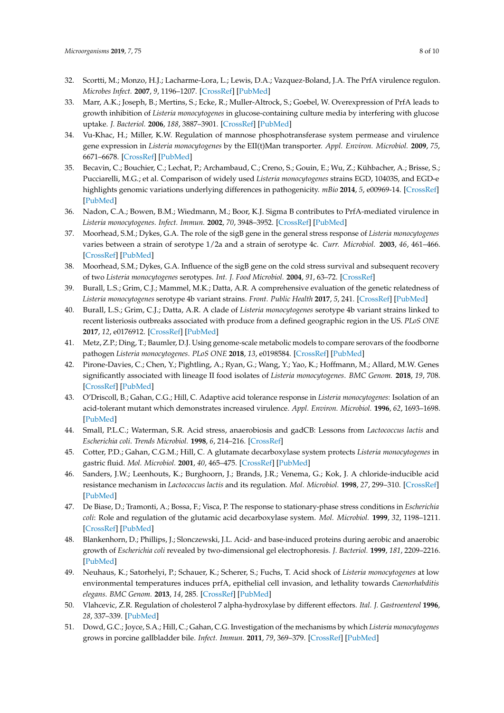- <span id="page-8-0"></span>32. Scortti, M.; Monzo, H.J.; Lacharme-Lora, L.; Lewis, D.A.; Vazquez-Boland, J.A. The PrfA virulence regulon. *Microbes Infect.* **2007**, *9*, 1196–1207. [\[CrossRef\]](http://dx.doi.org/10.1016/j.micinf.2007.05.007) [\[PubMed\]](http://www.ncbi.nlm.nih.gov/pubmed/17764998)
- <span id="page-8-1"></span>33. Marr, A.K.; Joseph, B.; Mertins, S.; Ecke, R.; Muller-Altrock, S.; Goebel, W. Overexpression of PrfA leads to growth inhibition of *Listeria monocytogenes* in glucose-containing culture media by interfering with glucose uptake. *J. Bacteriol.* **2006**, *188*, 3887–3901. [\[CrossRef\]](http://dx.doi.org/10.1128/JB.01978-05) [\[PubMed\]](http://www.ncbi.nlm.nih.gov/pubmed/16707681)
- <span id="page-8-2"></span>34. Vu-Khac, H.; Miller, K.W. Regulation of mannose phosphotransferase system permease and virulence gene expression in *Listeria monocytogenes* by the EII(t)Man transporter. *Appl. Environ. Microbiol.* **2009**, *75*, 6671–6678. [\[CrossRef\]](http://dx.doi.org/10.1128/AEM.01104-09) [\[PubMed\]](http://www.ncbi.nlm.nih.gov/pubmed/19734332)
- <span id="page-8-3"></span>35. Becavin, C.; Bouchier, C.; Lechat, P.; Archambaud, C.; Creno, S.; Gouin, E.; Wu, Z.; Kühbacher, A.; Brisse, S.; Pucciarelli, M.G.; et al. Comparison of widely used *Listeria monocytogenes* strains EGD, 10403S, and EGD-e highlights genomic variations underlying differences in pathogenicity. *mBio* **2014**, *5*, e00969-14. [\[CrossRef\]](http://dx.doi.org/10.1128/mBio.00969-14) [\[PubMed\]](http://www.ncbi.nlm.nih.gov/pubmed/24667708)
- <span id="page-8-4"></span>36. Nadon, C.A.; Bowen, B.M.; Wiedmann, M.; Boor, K.J. Sigma B contributes to PrfA-mediated virulence in *Listeria monocytogenes*. *Infect. Immun.* **2002**, *70*, 3948–3952. [\[CrossRef\]](http://dx.doi.org/10.1128/IAI.70.7.3948-3952.2002) [\[PubMed\]](http://www.ncbi.nlm.nih.gov/pubmed/12065541)
- <span id="page-8-5"></span>37. Moorhead, S.M.; Dykes, G.A. The role of the sigB gene in the general stress response of *Listeria monocytogenes* varies between a strain of serotype 1/2a and a strain of serotype 4c. *Curr. Microbiol.* **2003**, *46*, 461–466. [\[CrossRef\]](http://dx.doi.org/10.1007/s00284-002-3867-6) [\[PubMed\]](http://www.ncbi.nlm.nih.gov/pubmed/12732955)
- <span id="page-8-6"></span>38. Moorhead, S.M.; Dykes, G.A. Influence of the sigB gene on the cold stress survival and subsequent recovery of two *Listeria monocytogenes* serotypes. *Int. J. Food Microbiol.* **2004**, *91*, 63–72. [\[CrossRef\]](http://dx.doi.org/10.1016/S0168-1605(03)00332-5)
- <span id="page-8-7"></span>39. Burall, L.S.; Grim, C.J.; Mammel, M.K.; Datta, A.R. A comprehensive evaluation of the genetic relatedness of *Listeria monocytogenes* serotype 4b variant strains. *Front. Public Health* **2017**, *5*, 241. [\[CrossRef\]](http://dx.doi.org/10.3389/fpubh.2017.00241) [\[PubMed\]](http://www.ncbi.nlm.nih.gov/pubmed/28955706)
- <span id="page-8-8"></span>40. Burall, L.S.; Grim, C.J.; Datta, A.R. A clade of *Listeria monocytogenes* serotype 4b variant strains linked to recent listeriosis outbreaks associated with produce from a defined geographic region in the US. *PLoS ONE* **2017**, *12*, e0176912. [\[CrossRef\]](http://dx.doi.org/10.1371/journal.pone.0176912) [\[PubMed\]](http://www.ncbi.nlm.nih.gov/pubmed/28464038)
- <span id="page-8-9"></span>41. Metz, Z.P.; Ding, T.; Baumler, D.J. Using genome-scale metabolic models to compare serovars of the foodborne pathogen *Listeria monocytogenes*. *PLoS ONE* **2018**, *13*, e0198584. [\[CrossRef\]](http://dx.doi.org/10.1371/journal.pone.0198584) [\[PubMed\]](http://www.ncbi.nlm.nih.gov/pubmed/29879172)
- <span id="page-8-10"></span>42. Pirone-Davies, C.; Chen, Y.; Pightling, A.; Ryan, G.; Wang, Y.; Yao, K.; Hoffmann, M.; Allard, M.W. Genes significantly associated with lineage II food isolates of *Listeria monocytogenes*. *BMC Genom.* **2018**, *19*, 708. [\[CrossRef\]](http://dx.doi.org/10.1186/s12864-018-5074-2) [\[PubMed\]](http://www.ncbi.nlm.nih.gov/pubmed/30253738)
- <span id="page-8-11"></span>43. O'Driscoll, B.; Gahan, C.G.; Hill, C. Adaptive acid tolerance response in *Listeria monocytogenes*: Isolation of an acid-tolerant mutant which demonstrates increased virulence. *Appl. Environ. Microbiol.* **1996**, *62*, 1693–1698. [\[PubMed\]](http://www.ncbi.nlm.nih.gov/pubmed/8633868)
- <span id="page-8-12"></span>44. Small, P.L.C.; Waterman, S.R. Acid stress, anaerobiosis and gadCB: Lessons from *Lactococcus lactis* and *Escherichia coli*. *Trends Microbiol.* **1998**, *6*, 214–216. [\[CrossRef\]](http://dx.doi.org/10.1016/S0966-842X(98)01285-2)
- <span id="page-8-13"></span>45. Cotter, P.D.; Gahan, C.G.M.; Hill, C. A glutamate decarboxylase system protects *Listeria monocytogenes* in gastric fluid. *Mol. Microbiol.* **2001**, *40*, 465–475. [\[CrossRef\]](http://dx.doi.org/10.1046/j.1365-2958.2001.02398.x) [\[PubMed\]](http://www.ncbi.nlm.nih.gov/pubmed/11309128)
- <span id="page-8-14"></span>46. Sanders, J.W.; Leenhouts, K.; Burghoorn, J.; Brands, J.R.; Venema, G.; Kok, J. A chloride-inducible acid resistance mechanism in *Lactococcus lactis* and its regulation. *Mol. Microbiol.* **1998**, *27*, 299–310. [\[CrossRef\]](http://dx.doi.org/10.1046/j.1365-2958.1998.00676.x) [\[PubMed\]](http://www.ncbi.nlm.nih.gov/pubmed/9484886)
- 47. De Biase, D.; Tramonti, A.; Bossa, F.; Visca, P. The response to stationary-phase stress conditions in *Escherichia coli*: Role and regulation of the glutamic acid decarboxylase system. *Mol. Microbiol.* **1999**, *32*, 1198–1211. [\[CrossRef\]](http://dx.doi.org/10.1046/j.1365-2958.1999.01430.x) [\[PubMed\]](http://www.ncbi.nlm.nih.gov/pubmed/10383761)
- <span id="page-8-15"></span>48. Blankenhorn, D.; Phillips, J.; Slonczewski, J.L. Acid- and base-induced proteins during aerobic and anaerobic growth of *Escherichia coli* revealed by two-dimensional gel electrophoresis. *J. Bacteriol.* **1999**, *181*, 2209–2216. [\[PubMed\]](http://www.ncbi.nlm.nih.gov/pubmed/10094700)
- <span id="page-8-16"></span>49. Neuhaus, K.; Satorhelyi, P.; Schauer, K.; Scherer, S.; Fuchs, T. Acid shock of *Listeria monocytogenes* at low environmental temperatures induces prfA, epithelial cell invasion, and lethality towards *Caenorhabditis elegans*. *BMC Genom.* **2013**, *14*, 285. [\[CrossRef\]](http://dx.doi.org/10.1186/1471-2164-14-285) [\[PubMed\]](http://www.ncbi.nlm.nih.gov/pubmed/23622257)
- <span id="page-8-17"></span>50. Vlahcevic, Z.R. Regulation of cholesterol 7 alpha-hydroxylase by different effectors. *Ital. J. Gastroenterol* **1996**, *28*, 337–339. [\[PubMed\]](http://www.ncbi.nlm.nih.gov/pubmed/8891849)
- <span id="page-8-18"></span>51. Dowd, G.C.; Joyce, S.A.; Hill, C.; Gahan, C.G. Investigation of the mechanisms by which *Listeria monocytogenes* grows in porcine gallbladder bile. *Infect. Immun.* **2011**, *79*, 369–379. [\[CrossRef\]](http://dx.doi.org/10.1128/IAI.00330-10) [\[PubMed\]](http://www.ncbi.nlm.nih.gov/pubmed/20937762)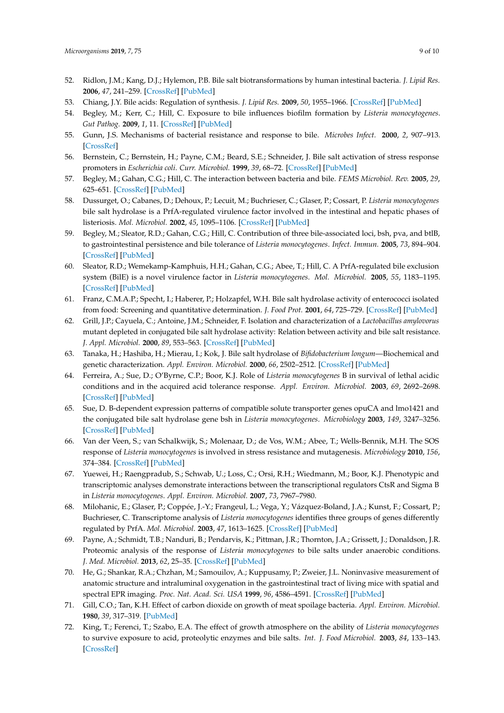- <span id="page-9-0"></span>52. Ridlon, J.M.; Kang, D.J.; Hylemon, P.B. Bile salt biotransformations by human intestinal bacteria. *J. Lipid Res.* **2006**, *47*, 241–259. [\[CrossRef\]](http://dx.doi.org/10.1194/jlr.R500013-JLR200) [\[PubMed\]](http://www.ncbi.nlm.nih.gov/pubmed/16299351)
- <span id="page-9-1"></span>53. Chiang, J.Y. Bile acids: Regulation of synthesis. *J. Lipid Res.* **2009**, *50*, 1955–1966. [\[CrossRef\]](http://dx.doi.org/10.1194/jlr.R900010-JLR200) [\[PubMed\]](http://www.ncbi.nlm.nih.gov/pubmed/19346330)
- <span id="page-9-2"></span>54. Begley, M.; Kerr, C.; Hill, C. Exposure to bile influences biofilm formation by *Listeria monocytogenes*. *Gut Pathog.* **2009**, *1*, 11. [\[CrossRef\]](http://dx.doi.org/10.1186/1757-4749-1-11) [\[PubMed\]](http://www.ncbi.nlm.nih.gov/pubmed/19476630)
- 55. Gunn, J.S. Mechanisms of bacterial resistance and response to bile. *Microbes Infect.* **2000**, *2*, 907–913. [\[CrossRef\]](http://dx.doi.org/10.1016/S1286-4579(00)00392-0)
- <span id="page-9-3"></span>56. Bernstein, C.; Bernstein, H.; Payne, C.M.; Beard, S.E.; Schneider, J. Bile salt activation of stress response promoters in *Escherichia coli*. *Curr. Microbiol.* **1999**, *39*, 68–72. [\[CrossRef\]](http://dx.doi.org/10.1007/s002849900420) [\[PubMed\]](http://www.ncbi.nlm.nih.gov/pubmed/10398829)
- <span id="page-9-4"></span>57. Begley, M.; Gahan, C.G.; Hill, C. The interaction between bacteria and bile. *FEMS Microbiol. Rev.* **2005**, *29*, 625–651. [\[CrossRef\]](http://dx.doi.org/10.1016/j.femsre.2004.09.003) [\[PubMed\]](http://www.ncbi.nlm.nih.gov/pubmed/16102595)
- <span id="page-9-5"></span>58. Dussurget, O.; Cabanes, D.; Dehoux, P.; Lecuit, M.; Buchrieser, C.; Glaser, P.; Cossart, P. *Listeria monocytogenes* bile salt hydrolase is a PrfA-regulated virulence factor involved in the intestinal and hepatic phases of listeriosis. *Mol. Microbiol.* **2002**, *45*, 1095–1106. [\[CrossRef\]](http://dx.doi.org/10.1046/j.1365-2958.2002.03080.x) [\[PubMed\]](http://www.ncbi.nlm.nih.gov/pubmed/12180927)
- <span id="page-9-6"></span>59. Begley, M.; Sleator, R.D.; Gahan, C.G.; Hill, C. Contribution of three bile-associated loci, bsh, pva, and btlB, to gastrointestinal persistence and bile tolerance of *Listeria monocytogenes*. *Infect. Immun.* **2005**, *73*, 894–904. [\[CrossRef\]](http://dx.doi.org/10.1128/IAI.73.2.894-904.2005) [\[PubMed\]](http://www.ncbi.nlm.nih.gov/pubmed/15664931)
- <span id="page-9-7"></span>60. Sleator, R.D.; Wemekamp-Kamphuis, H.H.; Gahan, C.G.; Abee, T.; Hill, C. A PrfA-regulated bile exclusion system (BilE) is a novel virulence factor in *Listeria monocytogenes*. *Mol. Microbiol.* **2005**, *55*, 1183–1195. [\[CrossRef\]](http://dx.doi.org/10.1111/j.1365-2958.2004.04454.x) [\[PubMed\]](http://www.ncbi.nlm.nih.gov/pubmed/15686563)
- <span id="page-9-8"></span>61. Franz, C.M.A.P.; Specht, I.; Haberer, P.; Holzapfel, W.H. Bile salt hydrolase activity of enterococci isolated from food: Screening and quantitative determination. *J. Food Prot.* **2001**, *64*, 725–729. [\[CrossRef\]](http://dx.doi.org/10.4315/0362-028X-64.5.725) [\[PubMed\]](http://www.ncbi.nlm.nih.gov/pubmed/11348009)
- <span id="page-9-9"></span>62. Grill, J.P.; Cayuela, C.; Antoine, J.M.; Schneider, F. Isolation and characterization of a *Lactobacillus amylovorus* mutant depleted in conjugated bile salt hydrolase activity: Relation between activity and bile salt resistance. *J. Appl. Microbiol.* **2000**, *89*, 553–563. [\[CrossRef\]](http://dx.doi.org/10.1046/j.1365-2672.2000.01147.x) [\[PubMed\]](http://www.ncbi.nlm.nih.gov/pubmed/11054157)
- <span id="page-9-10"></span>63. Tanaka, H.; Hashiba, H.; Mierau, I.; Kok, J. Bile salt hydrolase of *Bifidobacterium longum*—Biochemical and genetic characterization. *Appl. Environ. Microbiol.* **2000**, *66*, 2502–2512. [\[CrossRef\]](http://dx.doi.org/10.1128/AEM.66.6.2502-2512.2000) [\[PubMed\]](http://www.ncbi.nlm.nih.gov/pubmed/10831430)
- <span id="page-9-11"></span>64. Ferreira, A.; Sue, D.; O'Byrne, C.P.; Boor, K.J. Role of *Listeria monocytogenes* B in survival of lethal acidic conditions and in the acquired acid tolerance response. *Appl. Environ. Microbiol.* **2003**, *69*, 2692–2698. [\[CrossRef\]](http://dx.doi.org/10.1128/AEM.69.5.2692-2698.2003) [\[PubMed\]](http://www.ncbi.nlm.nih.gov/pubmed/12732538)
- <span id="page-9-12"></span>65. Sue, D. B-dependent expression patterns of compatible solute transporter genes opuCA and lmo1421 and the conjugated bile salt hydrolase gene bsh in *Listeria monocytogenes*. *Microbiology* **2003**, *149*, 3247–3256. [\[CrossRef\]](http://dx.doi.org/10.1099/mic.0.26526-0) [\[PubMed\]](http://www.ncbi.nlm.nih.gov/pubmed/14600237)
- <span id="page-9-13"></span>66. Van der Veen, S.; van Schalkwijk, S.; Molenaar, D.; de Vos, W.M.; Abee, T.; Wells-Bennik, M.H. The SOS response of *Listeria monocytogenes* is involved in stress resistance and mutagenesis. *Microbiology* **2010**, *156*, 374–384. [\[CrossRef\]](http://dx.doi.org/10.1099/mic.0.035196-0) [\[PubMed\]](http://www.ncbi.nlm.nih.gov/pubmed/19892760)
- <span id="page-9-14"></span>67. Yuewei, H.; Raengpradub, S.; Schwab, U.; Loss, C.; Orsi, R.H.; Wiedmann, M.; Boor, K.J. Phenotypic and transcriptomic analyses demonstrate interactions between the transcriptional regulators CtsR and Sigma B in *Listeria monocytogenes*. *Appl. Environ. Microbiol.* **2007**, *73*, 7967–7980.
- <span id="page-9-15"></span>68. Milohanic, E.; Glaser, P.; Coppée, J.-Y.; Frangeul, L.; Vega, Y.; Vázquez-Boland, J.A.; Kunst, F.; Cossart, P.; Buchrieser, C. Transcriptome analysis of *Listeria monocytogenes* identifies three groups of genes differently regulated by PrfA. *Mol. Microbiol.* **2003**, *47*, 1613–1625. [\[CrossRef\]](http://dx.doi.org/10.1046/j.1365-2958.2003.03413.x) [\[PubMed\]](http://www.ncbi.nlm.nih.gov/pubmed/12622816)
- <span id="page-9-16"></span>69. Payne, A.; Schmidt, T.B.; Nanduri, B.; Pendarvis, K.; Pittman, J.R.; Thornton, J.A.; Grissett, J.; Donaldson, J.R. Proteomic analysis of the response of *Listeria monocytogenes* to bile salts under anaerobic conditions. *J. Med. Microbiol.* **2013**, *62*, 25–35. [\[CrossRef\]](http://dx.doi.org/10.1099/jmm.0.049742-0) [\[PubMed\]](http://www.ncbi.nlm.nih.gov/pubmed/22977076)
- <span id="page-9-17"></span>70. He, G.; Shankar, R.A.; Chzhan, M.; Samouilov, A.; Kuppusamy, P.; Zweier, J.L. Noninvasive measurement of anatomic structure and intraluminal oxygenation in the gastrointestinal tract of living mice with spatial and spectral EPR imaging. *Proc. Nat. Acad. Sci. USA* **1999**, *96*, 4586–4591. [\[CrossRef\]](http://dx.doi.org/10.1073/pnas.96.8.4586) [\[PubMed\]](http://www.ncbi.nlm.nih.gov/pubmed/10200306)
- <span id="page-9-18"></span>71. Gill, C.O.; Tan, K.H. Effect of carbon dioxide on growth of meat spoilage bacteria. *Appl. Environ. Microbiol.* **1980**, *39*, 317–319. [\[PubMed\]](http://www.ncbi.nlm.nih.gov/pubmed/16345503)
- <span id="page-9-19"></span>72. King, T.; Ferenci, T.; Szabo, E.A. The effect of growth atmosphere on the ability of *Listeria monocytogenes* to survive exposure to acid, proteolytic enzymes and bile salts. *Int. J. Food Microbiol.* **2003**, *84*, 133–143. [\[CrossRef\]](http://dx.doi.org/10.1016/S0168-1605(02)00404-X)